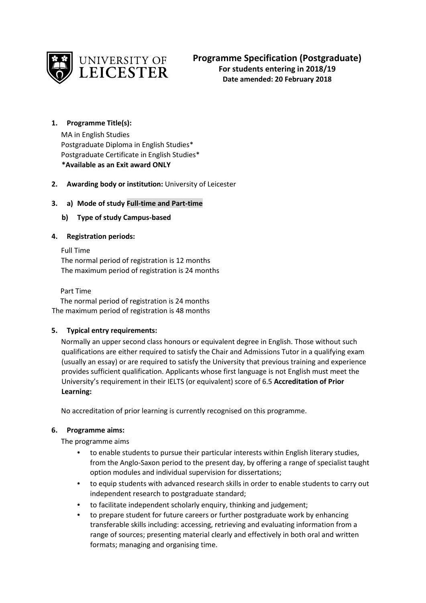

# **1. Programme Title(s):**

MA in English Studies Postgraduate Diploma in English Studies\* Postgraduate Certificate in English Studies\* **\*Available as an Exit award ONLY** 

# **2. Awarding body or institution:** University of Leicester

# **3. a) Mode of study Full-time and Part-time**

# **b) Type of study Campus-based**

# **4. Registration periods:**

Full Time The normal period of registration is 12 months The maximum period of registration is 24 months

Part Time

 The normal period of registration is 24 months The maximum period of registration is 48 months

# **5. Typical entry requirements:**

Normally an upper second class honours or equivalent degree in English. Those without such qualifications are either required to satisfy the Chair and Admissions Tutor in a qualifying exam (usually an essay) or are required to satisfy the University that previous training and experience provides sufficient qualification. Applicants whose first language is not English must meet the University's requirement in their IELTS (or equivalent) score of 6.5 **Accreditation of Prior Learning:** 

No accreditation of prior learning is currently recognised on this programme.

# **6. Programme aims:**

The programme aims

- to enable students to pursue their particular interests within English literary studies, from the Anglo-Saxon period to the present day, by offering a range of specialist taught option modules and individual supervision for dissertations;
- to equip students with advanced research skills in order to enable students to carry out independent research to postgraduate standard;
- to facilitate independent scholarly enquiry, thinking and judgement;
- to prepare student for future careers or further postgraduate work by enhancing transferable skills including: accessing, retrieving and evaluating information from a range of sources; presenting material clearly and effectively in both oral and written formats; managing and organising time.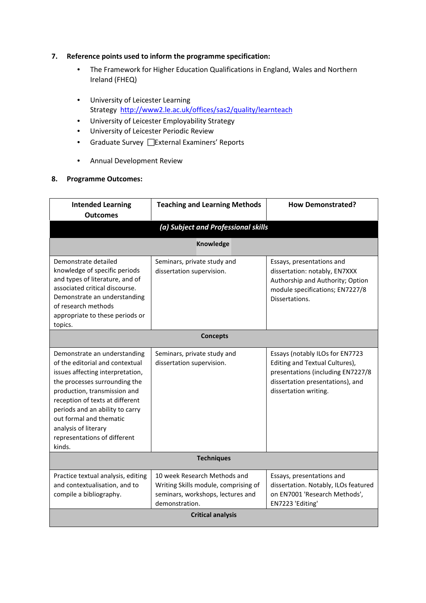#### **7. Reference points used to inform the programme specification:**

- The Framework for Higher Education Qualifications in England, Wales and Northern Ireland (FHEQ)
- University of Leicester Learning Strategy <http://www2.le.ac.uk/offices/sas2/quality/learnteach>
- University of Leicester Employability Strategy
- University of Leicester Periodic Review
- Graduate Survey **External Examiners' Reports**
- Annual Development Review

#### **8. Programme Outcomes:**

| <b>Intended Learning</b><br><b>Outcomes</b>                                                                                                                                                                                                                                                                                             | <b>Teaching and Learning Methods</b>                                                                                        | <b>How Demonstrated?</b>                                                                                                                                            |  |  |
|-----------------------------------------------------------------------------------------------------------------------------------------------------------------------------------------------------------------------------------------------------------------------------------------------------------------------------------------|-----------------------------------------------------------------------------------------------------------------------------|---------------------------------------------------------------------------------------------------------------------------------------------------------------------|--|--|
|                                                                                                                                                                                                                                                                                                                                         | (a) Subject and Professional skills                                                                                         |                                                                                                                                                                     |  |  |
|                                                                                                                                                                                                                                                                                                                                         | <b>Knowledge</b>                                                                                                            |                                                                                                                                                                     |  |  |
| Demonstrate detailed<br>knowledge of specific periods<br>and types of literature, and of<br>associated critical discourse.<br>Demonstrate an understanding<br>of research methods<br>appropriate to these periods or<br>topics.                                                                                                         | Seminars, private study and<br>dissertation supervision.                                                                    | Essays, presentations and<br>dissertation: notably, EN7XXX<br>Authorship and Authority; Option<br>module specifications; EN7227/8<br>Dissertations.                 |  |  |
|                                                                                                                                                                                                                                                                                                                                         | <b>Concepts</b>                                                                                                             |                                                                                                                                                                     |  |  |
| Demonstrate an understanding<br>of the editorial and contextual<br>issues affecting interpretation,<br>the processes surrounding the<br>production, transmission and<br>reception of texts at different<br>periods and an ability to carry<br>out formal and thematic<br>analysis of literary<br>representations of different<br>kinds. | Seminars, private study and<br>dissertation supervision.                                                                    | Essays (notably ILOs for EN7723<br>Editing and Textual Cultures),<br>presentations (including EN7227/8<br>dissertation presentations), and<br>dissertation writing. |  |  |
| <b>Techniques</b>                                                                                                                                                                                                                                                                                                                       |                                                                                                                             |                                                                                                                                                                     |  |  |
| Practice textual analysis, editing<br>and contextualisation, and to<br>compile a bibliography.                                                                                                                                                                                                                                          | 10 week Research Methods and<br>Writing Skills module, comprising of<br>seminars, workshops, lectures and<br>demonstration. | Essays, presentations and<br>dissertation. Notably, ILOs featured<br>on EN7001 'Research Methods',<br>EN7223 'Editing'                                              |  |  |
| <b>Critical analysis</b>                                                                                                                                                                                                                                                                                                                |                                                                                                                             |                                                                                                                                                                     |  |  |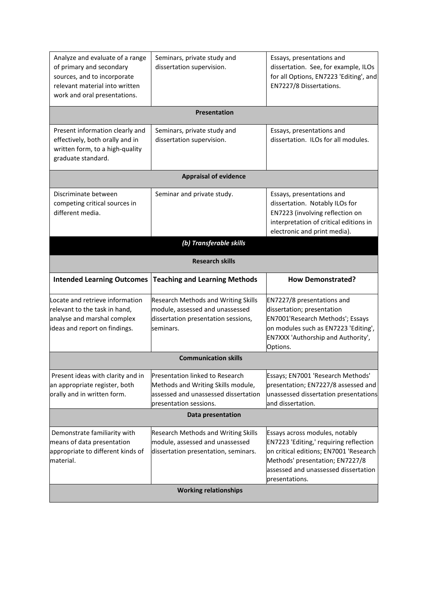| Analyze and evaluate of a range<br>of primary and secondary<br>sources, and to incorporate<br>relevant material into written<br>work and oral presentations. | Seminars, private study and<br>dissertation supervision.                                                                                       | Essays, presentations and<br>dissertation. See, for example, ILOs<br>for all Options, EN7223 'Editing', and<br>EN7227/8 Dissertations.                                                                          |
|--------------------------------------------------------------------------------------------------------------------------------------------------------------|------------------------------------------------------------------------------------------------------------------------------------------------|-----------------------------------------------------------------------------------------------------------------------------------------------------------------------------------------------------------------|
|                                                                                                                                                              | Presentation                                                                                                                                   |                                                                                                                                                                                                                 |
| Present information clearly and<br>effectively, both orally and in<br>written form, to a high-quality<br>graduate standard.                                  | Seminars, private study and<br>dissertation supervision.                                                                                       | Essays, presentations and<br>dissertation. ILOs for all modules.                                                                                                                                                |
|                                                                                                                                                              | <b>Appraisal of evidence</b>                                                                                                                   |                                                                                                                                                                                                                 |
| Discriminate between<br>competing critical sources in<br>different media.                                                                                    | Seminar and private study.                                                                                                                     | Essays, presentations and<br>dissertation. Notably ILOs for<br>EN7223 (involving reflection on<br>interpretation of critical editions in<br>electronic and print media).                                        |
|                                                                                                                                                              | (b) Transferable skills                                                                                                                        |                                                                                                                                                                                                                 |
|                                                                                                                                                              | <b>Research skills</b>                                                                                                                         |                                                                                                                                                                                                                 |
| <b>Intended Learning Outcomes</b>                                                                                                                            | <b>Teaching and Learning Methods</b>                                                                                                           | <b>How Demonstrated?</b>                                                                                                                                                                                        |
| Locate and retrieve information<br>relevant to the task in hand,<br>analyse and marshal complex<br>ideas and report on findings.                             | <b>Research Methods and Writing Skills</b><br>module, assessed and unassessed<br>dissertation presentation sessions,<br>seminars.              | EN7227/8 presentations and<br>dissertation; presentation<br>EN7001'Research Methods'; Essays<br>on modules such as EN7223 'Editing',<br>EN7XXX 'Authorship and Authority',<br>Options.                          |
|                                                                                                                                                              | <b>Communication skills</b>                                                                                                                    |                                                                                                                                                                                                                 |
| Present ideas with clarity and in<br>an appropriate register, both<br>orally and in written form.                                                            | Presentation linked to Research<br>Methods and Writing Skills module,<br>assessed and unassessed dissertation<br>presentation sessions.        | Essays; EN7001 'Research Methods'<br>presentation; EN7227/8 assessed and<br>unassessed dissertation presentations<br>and dissertation.                                                                          |
|                                                                                                                                                              | Data presentation                                                                                                                              |                                                                                                                                                                                                                 |
| Demonstrate familiarity with                                                                                                                                 |                                                                                                                                                |                                                                                                                                                                                                                 |
| means of data presentation<br>appropriate to different kinds of<br>material.                                                                                 | Research Methods and Writing Skills<br>module, assessed and unassessed<br>dissertation presentation, seminars.<br><b>Working relationships</b> | Essays across modules, notably<br>EN7223 'Editing,' requiring reflection<br>on critical editions; EN7001 'Research<br>Methods' presentation; EN7227/8<br>assessed and unassessed dissertation<br>presentations. |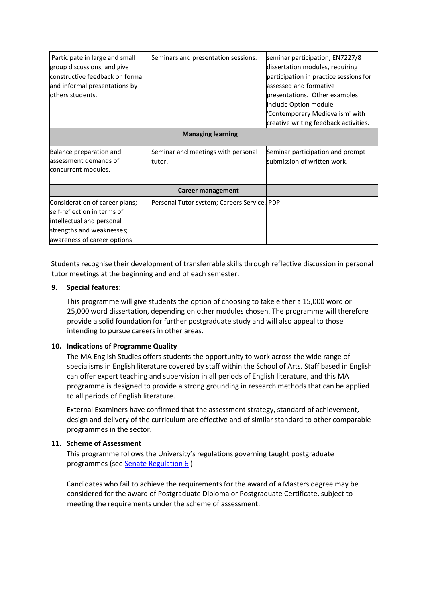| Participate in large and small<br>group discussions, and give<br>constructive feedback on formal<br>and informal presentations by<br>others students.  | Seminars and presentation sessions.          | seminar participation; EN7227/8<br>dissertation modules, requiring<br>participation in practice sessions for<br>assessed and formative<br>presentations. Other examples<br>include Option module<br>'Contemporary Medievalism' with<br>creative writing feedback activities. |  |  |
|--------------------------------------------------------------------------------------------------------------------------------------------------------|----------------------------------------------|------------------------------------------------------------------------------------------------------------------------------------------------------------------------------------------------------------------------------------------------------------------------------|--|--|
|                                                                                                                                                        | <b>Managing learning</b>                     |                                                                                                                                                                                                                                                                              |  |  |
| Balance preparation and<br>assessment demands of<br>concurrent modules.                                                                                | Seminar and meetings with personal<br>tutor. | Seminar participation and prompt<br>submission of written work.                                                                                                                                                                                                              |  |  |
| Career management                                                                                                                                      |                                              |                                                                                                                                                                                                                                                                              |  |  |
| Consideration of career plans;<br>self-reflection in terms of<br>intellectual and personal<br>strengths and weaknesses;<br>awareness of career options | Personal Tutor system; Careers Service. PDP  |                                                                                                                                                                                                                                                                              |  |  |

Students recognise their development of transferrable skills through reflective discussion in personal tutor meetings at the beginning and end of each semester.

#### **9. Special features:**

This programme will give students the option of choosing to take either a 15,000 word or 25,000 word dissertation, depending on other modules chosen. The programme will therefore provide a solid foundation for further postgraduate study and will also appeal to those intending to pursue careers in other areas.

# **10. Indications of Programme Quality**

The MA English Studies offers students the opportunity to work across the wide range of specialisms in English literature covered by staff within the School of Arts. Staff based in English can offer expert teaching and supervision in all periods of English literature, and this MA programme is designed to provide a strong grounding in research methods that can be applied to all periods of English literature.

External Examiners have confirmed that the assessment strategy, standard of achievement, design and delivery of the curriculum are effective and of similar standard to other comparable programmes in the sector.

# **11. Scheme of Assessment**

This programme follows the University's regulations governing taught postgraduate programmes (see [Senate Regulation 6](https://www2.le.ac.uk/offices/sas2/regulations/documents/sr6-taught-postgraduate) )

Candidates who fail to achieve the requirements for the award of a Masters degree may be considered for the award of Postgraduate Diploma or Postgraduate Certificate, subject to meeting the requirements under the scheme of assessment.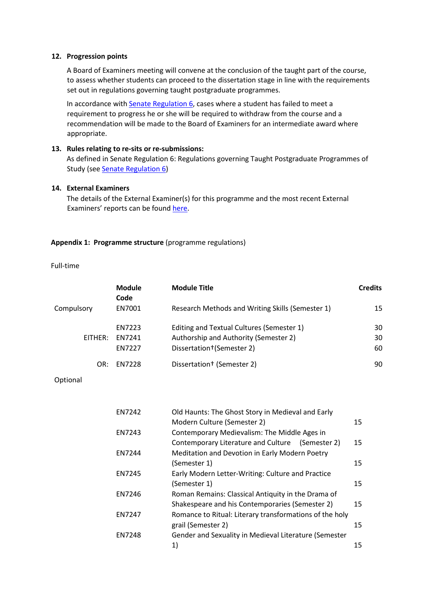#### **12. Progression points**

A Board of Examiners meeting will convene at the conclusion of the taught part of the course, to assess whether students can proceed to the dissertation stage in line with the requirements set out in regulations governing taught postgraduate programmes.

In accordance with [Senate Regulation 6,](https://www2.le.ac.uk/offices/sas2/regulations/documents/sr6-taught-postgraduate) cases where a student has failed to meet a requirement to progress he or she will be required to withdraw from the course and a recommendation will be made to the Board of Examiners for an intermediate award where appropriate.

#### **13. Rules relating to re-sits or re-submissions:**

As defined in Senate Regulation 6: Regulations governing Taught Postgraduate Programmes of Study (se[e Senate Regulation 6](https://www2.le.ac.uk/offices/sas2/regulations/documents/sr6-taught-postgraduate)[\)](http://www2.le.ac.uk/offices/sas2/regulations/general-regulations-for-taught-programmes)

#### **14. External Examiners**

The details of the External Examiner(s) for this programme and the most recent External Examiners' reports can be found [here.](https://exampapers.le.ac.uk/xmlui/handle/123456789/186)

#### **Appendix 1: Programme structure** (programme regulations)

Full-time

|            | <b>Module</b><br>Code | <b>Module Title</b>                              | <b>Credits</b> |
|------------|-----------------------|--------------------------------------------------|----------------|
| Compulsory | EN7001                | Research Methods and Writing Skills (Semester 1) | 15             |
|            | EN7223                | Editing and Textual Cultures (Semester 1)        | 30             |
| FITHFR:    | <b>FN7241</b>         | Authorship and Authority (Semester 2)            | 30             |
|            | <b>EN7227</b>         | Dissertation+(Semester 2)                        | 60             |
| OR:        | <b>FN7228</b>         | Dissertation <sup>†</sup> (Semester 2)           | 90             |

Optional

| <b>EN7242</b> | Old Haunts: The Ghost Story in Medieval and Early       |                 |  |
|---------------|---------------------------------------------------------|-----------------|--|
|               | Modern Culture (Semester 2)                             | 15 <sub>1</sub> |  |
| EN7243        | Contemporary Medievalism: The Middle Ages in            |                 |  |
|               | Contemporary Literature and Culture (Semester 2)        | 15              |  |
| <b>EN7244</b> | Meditation and Devotion in Early Modern Poetry          |                 |  |
|               | (Semester 1)                                            | 15              |  |
| <b>EN7245</b> | Early Modern Letter-Writing: Culture and Practice       |                 |  |
|               | (Semester 1)                                            | 15              |  |
| EN7246        | Roman Remains: Classical Antiquity in the Drama of      |                 |  |
|               | Shakespeare and his Contemporaries (Semester 2)         | 15              |  |
| <b>EN7247</b> | Romance to Ritual: Literary transformations of the holy |                 |  |
|               | grail (Semester 2)                                      | 15              |  |
| <b>EN7248</b> | Gender and Sexuality in Medieval Literature (Semester   |                 |  |
|               | 1)                                                      | 15              |  |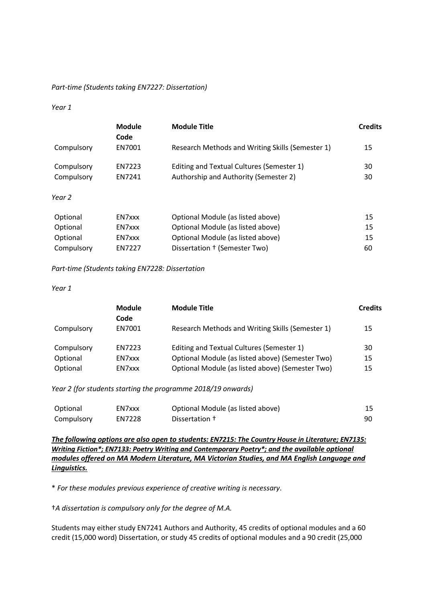#### *Part-time (Students taking EN7227: Dissertation)*

#### *Year 1*

|            | Module<br>Code | <b>Module Title</b>                              | <b>Credits</b> |
|------------|----------------|--------------------------------------------------|----------------|
| Compulsory | EN7001         | Research Methods and Writing Skills (Semester 1) | 15             |
| Compulsory | EN7223         | Editing and Textual Cultures (Semester 1)        | 30             |
| Compulsory | EN7241         | Authorship and Authority (Semester 2)            | 30             |
| Year 2     |                |                                                  |                |
| Optional   | EN7xxx         | Optional Module (as listed above)                | 15             |
| Optional   | EN7xxx         | Optional Module (as listed above)                | 15             |
| Optional   | EN7xxx         | Optional Module (as listed above)                | 15             |
| Compulsory | <b>FN7227</b>  | Dissertation † (Semester Two)                    | 60             |

*Part-time (Students taking EN7228: Dissertation*

*Year 1*

|            | <b>Module</b><br>Code | <b>Module Title</b>                              | <b>Credits</b> |
|------------|-----------------------|--------------------------------------------------|----------------|
| Compulsory | EN7001                | Research Methods and Writing Skills (Semester 1) | 15             |
| Compulsory | EN7223                | Editing and Textual Cultures (Semester 1)        | 30             |
| Optional   | EN7xxx                | Optional Module (as listed above) (Semester Two) | 15             |
| Optional   | EN7xxx                | Optional Module (as listed above) (Semester Two) | 15             |

*Year 2 (for students starting the programme 2018/19 onwards)*

| Optional   | EN7xxx | Optional Module (as listed above) | 15 |
|------------|--------|-----------------------------------|----|
| Compulsory | EN7228 | Dissertation +                    |    |

*The following options are also open to students: EN7215: The Country House in Literature; EN7135: Writing Fiction\*; EN7133: Poetry Writing and Contemporary Poetry\*; and the available optional modules offered on MA Modern Literature, MA Victorian Studies, and MA English Language and Linguistics.* 

\* *For these modules previous experience of creative writing is necessary*.

†*A dissertation is compulsory only for the degree of M.A.* 

Students may either study EN7241 Authors and Authority, 45 credits of optional modules and a 60 credit (15,000 word) Dissertation, or study 45 credits of optional modules and a 90 credit (25,000